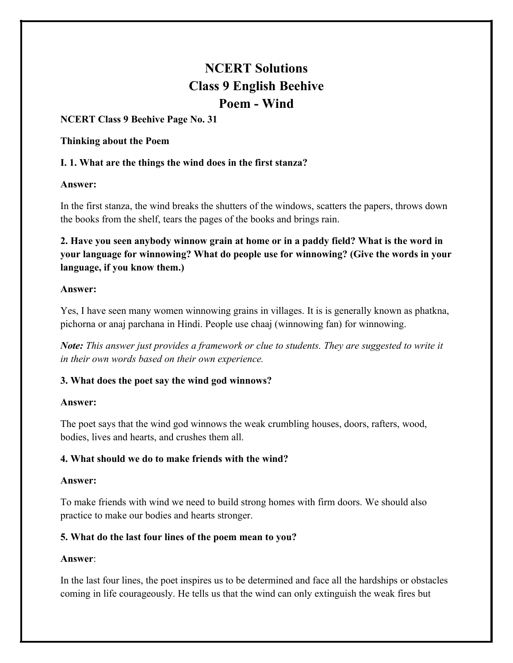# **NCERT Solutions Class 9 English Beehive Poem - Wind**

# **NCERT Class 9 Beehive Page No. 31**

#### **Thinking about the Poem**

# **I. 1. What are the things the wind does in the first stanza?**

#### **Answer:**

In the first stanza, the wind breaks the shutters of the windows, scatters the papers, throws down the books from the shelf, tears the pages of the books and brings rain.

**2. Have you seen anybody winnow grain at home or in a paddy field? What is the word in your language for winnowing? What do people use for winnowing? (Give the words in your language, if you know them.)**

#### **Answer:**

Yes, I have seen many women winnowing grains in villages. It is is generally known as phatkna, pichorna or anaj parchana in Hindi. People use chaaj (winnowing fan) for winnowing.

*Note: This answer just provides a framework or clue to students. They are suggested to write it in their own words based on their own experience.*

# **3. What does the poet say the wind god winnows?**

# **Answer:**

The poet says that the wind god winnows the weak crumbling houses, doors, rafters, wood, bodies, lives and hearts, and crushes them all.

# **4. What should we do to make friends with the wind?**

# **Answer:**

To make friends with wind we need to build strong homes with firm doors. We should also practice to make our bodies and hearts stronger.

# **5. What do the last four lines of the poem mean to you?**

# **Answer**:

In the last four lines, the poet inspires us to be determined and face all the hardships or obstacles coming in life courageously. He tells us that the wind can only extinguish the weak fires but